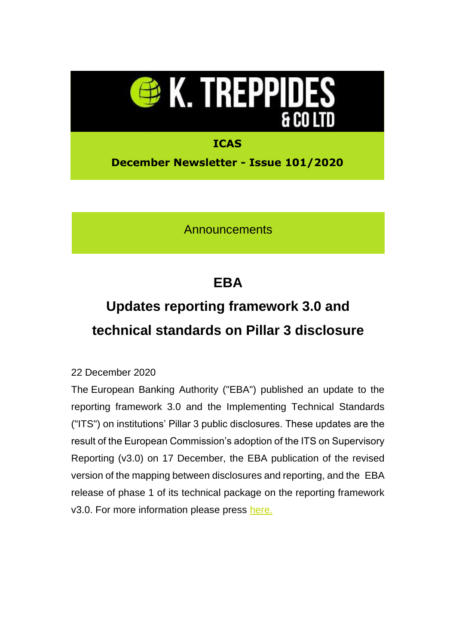

**Announcements** 

## **EBA**

# **Updates reporting framework 3.0 and technical standards on Pillar 3 disclosure**

### 22 December 2020

The European Banking Authority ("EBA") published an update to the reporting framework 3.0 and the Implementing Technical Standards ("ITS") on institutions' Pillar 3 public disclosures. These updates are the result of the European Commission's adoption of the ITS on Supervisory Reporting (v3.0) on 17 December, the EBA publication of the revised version of the mapping between disclosures and reporting, and the EBA release of phase 1 of its technical package on the reporting framework v3.0. For more information please press [here.](https://eur02.safelinks.protection.outlook.com/?url=https%3A%2F%2Ftreppides.us3.list-manage.com%2Ftrack%2Fclick%3Fu%3D8bf962a96057ffc956d2f2030%26id%3Dbb74bc233a%26e%3D8257cbedd3&data=04%7C01%7Cetheodorou%40treppides.com%7C1f28ef6ef74b4a398e3e08d8a7f6e89c%7C6e5d13a911384013913df32a1be7dced%7C0%7C0%7C637444026254526627%7CUnknown%7CTWFpbGZsb3d8eyJWIjoiMC4wLjAwMDAiLCJQIjoiV2luMzIiLCJBTiI6Ik1haWwiLCJXVCI6Mn0%3D%7C1000&sdata=9mo6QmAAJX%2Frdx8PdmEb7HICJSzx5u9pms2K6n2VGig%3D&reserved=0)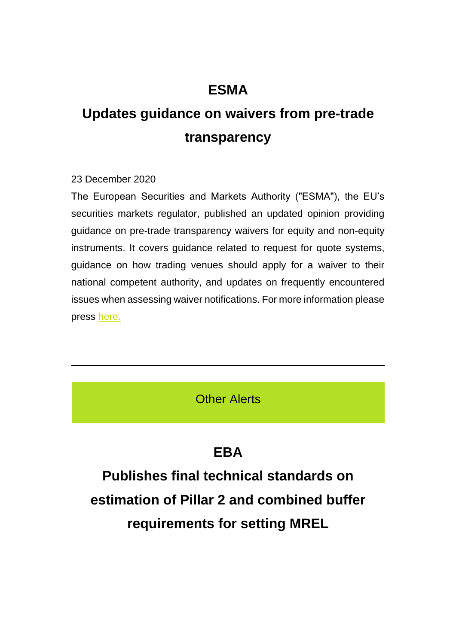## **ESMA**

# **Updates guidance on waivers from pre-trade transparency**

#### 23 December 2020

The European Securities and Markets Authority ("ESMA"), the EU's securities markets regulator, published an updated opinion providing guidance on pre-trade transparency waivers for equity and non-equity instruments. It covers guidance related to request for quote systems, guidance on how trading venues should apply for a waiver to their national competent authority, and updates on frequently encountered issues when assessing waiver notifications. For more information please press [here.](https://eur02.safelinks.protection.outlook.com/?url=https%3A%2F%2Ftreppides.us3.list-manage.com%2Ftrack%2Fclick%3Fu%3D8bf962a96057ffc956d2f2030%26id%3Dd7155d2114%26e%3D8257cbedd3&data=04%7C01%7Cetheodorou%40treppides.com%7C1f28ef6ef74b4a398e3e08d8a7f6e89c%7C6e5d13a911384013913df32a1be7dced%7C0%7C0%7C637444026254526627%7CUnknown%7CTWFpbGZsb3d8eyJWIjoiMC4wLjAwMDAiLCJQIjoiV2luMzIiLCJBTiI6Ik1haWwiLCJXVCI6Mn0%3D%7C1000&sdata=oPDMjW4DQPJDgYq3YOSOBGrSNvXxss484EZjIVuQO6c%3D&reserved=0)

Other Alerts

## **EBA**

**Publishes final technical standards on estimation of Pillar 2 and combined buffer requirements for setting MREL**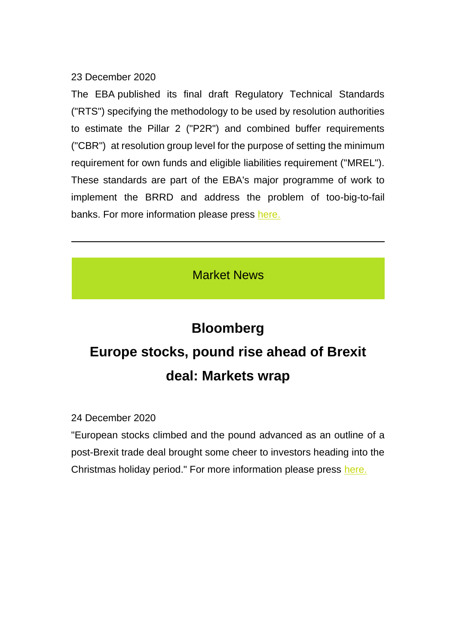### 23 December 2020

The EBA published its final draft Regulatory Technical Standards ("RTS") specifying the methodology to be used by resolution authorities to estimate the Pillar 2 ("P2R") and combined buffer requirements ("CBR") at resolution group level for the purpose of setting the minimum requirement for own funds and eligible liabilities requirement ("MREL"). These standards are part of the EBA's major programme of work to implement the BRRD and address the problem of too-big-to-fail banks. For more information please press [here.](https://eur02.safelinks.protection.outlook.com/?url=https%3A%2F%2Ftreppides.us3.list-manage.com%2Ftrack%2Fclick%3Fu%3D8bf962a96057ffc956d2f2030%26id%3D65b4bfed03%26e%3D8257cbedd3&data=04%7C01%7Cetheodorou%40treppides.com%7C1f28ef6ef74b4a398e3e08d8a7f6e89c%7C6e5d13a911384013913df32a1be7dced%7C0%7C0%7C637444026254536621%7CUnknown%7CTWFpbGZsb3d8eyJWIjoiMC4wLjAwMDAiLCJQIjoiV2luMzIiLCJBTiI6Ik1haWwiLCJXVCI6Mn0%3D%7C1000&sdata=GEcQ9rz9BemXhJpICXTe1Okri9f65EoNshsEmYbpWYs%3D&reserved=0)

## Market News

# **Bloomberg Europe stocks, pound rise ahead of Brexit deal: Markets wrap**

24 December 2020

"European stocks climbed and the pound advanced as an outline of a post-Brexit trade deal brought some cheer to investors heading into the Christmas holiday period." For more information please press [here.](https://eur02.safelinks.protection.outlook.com/?url=https%3A%2F%2Ftreppides.us3.list-manage.com%2Ftrack%2Fclick%3Fu%3D8bf962a96057ffc956d2f2030%26id%3Dac93090d5e%26e%3D8257cbedd3&data=04%7C01%7Cetheodorou%40treppides.com%7C1f28ef6ef74b4a398e3e08d8a7f6e89c%7C6e5d13a911384013913df32a1be7dced%7C0%7C0%7C637444026254546620%7CUnknown%7CTWFpbGZsb3d8eyJWIjoiMC4wLjAwMDAiLCJQIjoiV2luMzIiLCJBTiI6Ik1haWwiLCJXVCI6Mn0%3D%7C1000&sdata=Bu4g9LJS%2BSCpMV2z5KTyWEDst9qjDbHycLzZF9u%2B%2BPE%3D&reserved=0)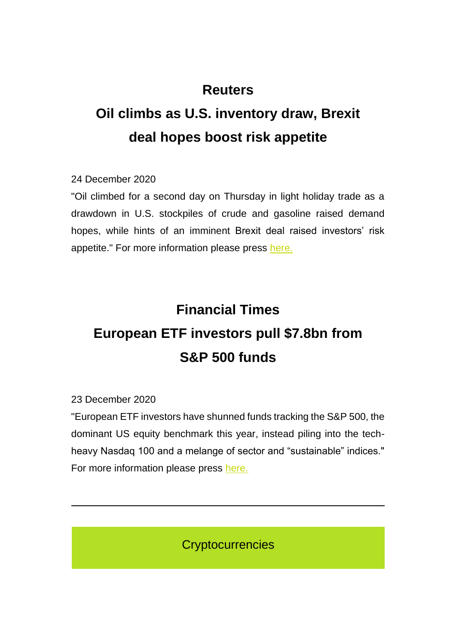## **Reuters**

# **Oil climbs as U.S. inventory draw, Brexit deal hopes boost risk appetite**

24 December 2020

"Oil climbed for a second day on Thursday in light holiday trade as a drawdown in U.S. stockpiles of crude and gasoline raised demand hopes, while hints of an imminent Brexit deal raised investors' risk appetite." For more information please press [here.](https://eur02.safelinks.protection.outlook.com/?url=https%3A%2F%2Ftreppides.us3.list-manage.com%2Ftrack%2Fclick%3Fu%3D8bf962a96057ffc956d2f2030%26id%3Dcf1dca2fb1%26e%3D8257cbedd3&data=04%7C01%7Cetheodorou%40treppides.com%7C1f28ef6ef74b4a398e3e08d8a7f6e89c%7C6e5d13a911384013913df32a1be7dced%7C0%7C0%7C637444026254546620%7CUnknown%7CTWFpbGZsb3d8eyJWIjoiMC4wLjAwMDAiLCJQIjoiV2luMzIiLCJBTiI6Ik1haWwiLCJXVCI6Mn0%3D%7C1000&sdata=j6klsvThYATmb9308MyxxivwEK%2FQ%2BDUFbk%2B7x3%2FUarM%3D&reserved=0)

# **Financial Times European ETF investors pull \$7.8bn from S&P 500 funds**

23 December 2020

"European ETF investors have shunned funds tracking the S&P 500, the dominant US equity benchmark this year, instead piling into the techheavy Nasdaq 100 and a melange of sector and "sustainable" indices." For more information please press [here.](https://eur02.safelinks.protection.outlook.com/?url=https%3A%2F%2Ftreppides.us3.list-manage.com%2Ftrack%2Fclick%3Fu%3D8bf962a96057ffc956d2f2030%26id%3Dfb69cc1451%26e%3D8257cbedd3&data=04%7C01%7Cetheodorou%40treppides.com%7C1f28ef6ef74b4a398e3e08d8a7f6e89c%7C6e5d13a911384013913df32a1be7dced%7C0%7C0%7C637444026254556614%7CUnknown%7CTWFpbGZsb3d8eyJWIjoiMC4wLjAwMDAiLCJQIjoiV2luMzIiLCJBTiI6Ik1haWwiLCJXVCI6Mn0%3D%7C1000&sdata=mp%2BCX%2BpTUTQ2DNv2c40VWHd9sqS%2ByulTBsRYeBFNAOI%3D&reserved=0)

**Cryptocurrencies**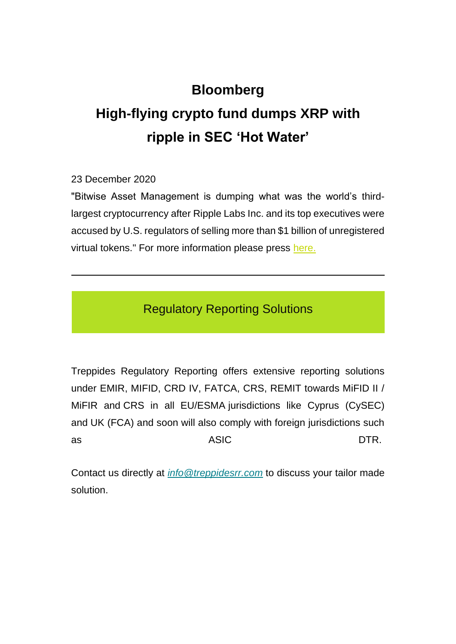## **Bloomberg**

# **High-flying crypto fund dumps XRP with ripple in SEC 'Hot Water'**

23 December 2020

"Bitwise Asset Management is dumping what was the world's thirdlargest cryptocurrency after Ripple Labs Inc. and its top executives were accused by U.S. regulators of selling more than \$1 billion of unregistered virtual tokens." For more information please press [here.](https://eur02.safelinks.protection.outlook.com/?url=https%3A%2F%2Ftreppides.us3.list-manage.com%2Ftrack%2Fclick%3Fu%3D8bf962a96057ffc956d2f2030%26id%3De2336ddcfb%26e%3D8257cbedd3&data=04%7C01%7Cetheodorou%40treppides.com%7C1f28ef6ef74b4a398e3e08d8a7f6e89c%7C6e5d13a911384013913df32a1be7dced%7C0%7C0%7C637444026254566610%7CUnknown%7CTWFpbGZsb3d8eyJWIjoiMC4wLjAwMDAiLCJQIjoiV2luMzIiLCJBTiI6Ik1haWwiLCJXVCI6Mn0%3D%7C1000&sdata=pQ%2F9bmqd26g3UvlYObJr7E23D%2Fw1ymqHjHou4tmM2CQ%3D&reserved=0)

Regulatory Reporting Solutions

Treppides Regulatory Reporting offers extensive reporting solutions under EMIR, MIFID, CRD IV, FATCA, CRS, REMIT towards MiFID II / MiFIR and CRS in all EU/ESMA jurisdictions like Cyprus (CySEC) and UK (FCA) and soon will also comply with foreign jurisdictions such as ASIC DTR.

Contact us directly at *[info@treppidesrr.com](mailto:info@treppidesrr.com?subject=%5BCompany%20name%20here)&body=Please%20contact%20us%20as%20we%20are%20interested%20in%20your%20services.)* to discuss your tailor made solution.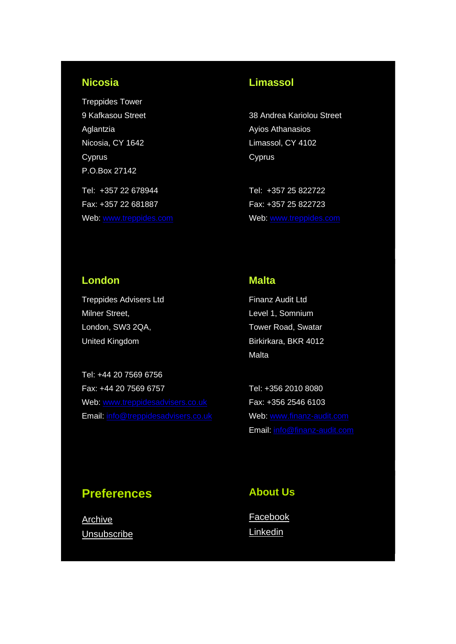### **Nicosia**

Treppides Tower 9 Kafkasou Street Aglantzia Nicosia, CY 1642 Cyprus P.O.Box 27142 Tel: +357 22 678944 Fax: +357 22 681887 Web: [www.treppides.com](http://www.treppides.com/)

### **Limassol**

38 Andrea Kariolou Street Ayios Athanasios Limassol, CY 4102 **Cyprus** 

Tel: +357 25 822722 Fax: +357 25 822723 Web: [www.treppides.com](http://www.treppides.com/)

#### **London**

Treppides Advisers Ltd Milner Street, London, SW3 2QA, United Kingdom

Tel: +44 20 7569 6756 Fax: +44 20 7569 6757 Web: [www.treppidesadvisers.co.uk](http://www.treppidesadvisers.co.uk/) Email: [info@treppidesadvisers.co.uk](mailto:info@treppidesadvisers.co.uk)

#### **Malta**

Finanz Audit Ltd Level 1, Somnium Tower Road, Swatar Birkirkara, BKR 4012 Malta

Tel: +356 2010 8080 Fax: +356 2546 6103 Web: [www.finanz-audit.com](http://www.finanz-audit.com/) Email: [info@finanz-audit.com](mailto:info@finanz-audit.com)

### **Preferences**

**[Archive](https://eur02.safelinks.protection.outlook.com/?url=https%3A%2F%2Ftreppides.us3.list-manage.com%2Ftrack%2Fclick%3Fu%3D8bf962a96057ffc956d2f2030%26id%3D2b58f2c3bb%26e%3D8257cbedd3&data=04%7C01%7Cetheodorou%40treppides.com%7C1f28ef6ef74b4a398e3e08d8a7f6e89c%7C6e5d13a911384013913df32a1be7dced%7C0%7C0%7C637444026254566610%7CUnknown%7CTWFpbGZsb3d8eyJWIjoiMC4wLjAwMDAiLCJQIjoiV2luMzIiLCJBTiI6Ik1haWwiLCJXVCI6Mn0%3D%7C1000&sdata=7rUsiYkBDQuqkCbRSOqc7des2ctt%2FuTwc73p4aJBjDc%3D&reserved=0) [Unsubscribe](https://eur02.safelinks.protection.outlook.com/?url=https%3A%2F%2Ftreppides.us3.list-manage.com%2Ftrack%2Fclick%3Fu%3D8bf962a96057ffc956d2f2030%26id%3D21b93d7c49%26e%3D8257cbedd3&data=04%7C01%7Cetheodorou%40treppides.com%7C1f28ef6ef74b4a398e3e08d8a7f6e89c%7C6e5d13a911384013913df32a1be7dced%7C0%7C0%7C637444026254576604%7CUnknown%7CTWFpbGZsb3d8eyJWIjoiMC4wLjAwMDAiLCJQIjoiV2luMzIiLCJBTiI6Ik1haWwiLCJXVCI6Mn0%3D%7C1000&sdata=Bpy%2FMggoT4OdUB%2BmuyxJJr2AWdHiQqh1%2FSiUABipBzA%3D&reserved=0)** 

#### **About Us**

**[Facebook](https://eur02.safelinks.protection.outlook.com/?url=https%3A%2F%2Ftreppides.us3.list-manage.com%2Ftrack%2Fclick%3Fu%3D8bf962a96057ffc956d2f2030%26id%3Da11a9563ab%26e%3D8257cbedd3&data=04%7C01%7Cetheodorou%40treppides.com%7C1f28ef6ef74b4a398e3e08d8a7f6e89c%7C6e5d13a911384013913df32a1be7dced%7C0%7C0%7C637444026254586600%7CUnknown%7CTWFpbGZsb3d8eyJWIjoiMC4wLjAwMDAiLCJQIjoiV2luMzIiLCJBTiI6Ik1haWwiLCJXVCI6Mn0%3D%7C1000&sdata=zKBYsfFzggYhqSgLdEm4ZCzoHgWBX5RGG80KCOzHjpY%3D&reserved=0)** [Linkedin](https://eur02.safelinks.protection.outlook.com/?url=https%3A%2F%2Ftreppides.us3.list-manage.com%2Ftrack%2Fclick%3Fu%3D8bf962a96057ffc956d2f2030%26id%3D2fc5352d7e%26e%3D8257cbedd3&data=04%7C01%7Cetheodorou%40treppides.com%7C1f28ef6ef74b4a398e3e08d8a7f6e89c%7C6e5d13a911384013913df32a1be7dced%7C0%7C0%7C637444026254586600%7CUnknown%7CTWFpbGZsb3d8eyJWIjoiMC4wLjAwMDAiLCJQIjoiV2luMzIiLCJBTiI6Ik1haWwiLCJXVCI6Mn0%3D%7C1000&sdata=26wkXA54usfe4hWJdCr%2BIOow1770d3DP3LYZQ72DIY4%3D&reserved=0)